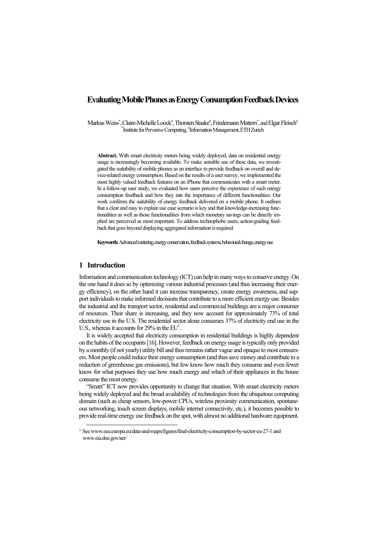# **Evaluating Mobile Phones as Energy Consumption Feedback Devices**

Markus Weiss<sup>\*</sup>, Claire-Michelle Loock<sup>#</sup>, Thorsten Staake<sup>#</sup>, Friedemann Mattern<sup>\*</sup>, and Elgar Fleisch<sup>#</sup> *\*Institute for Pervasive Computing, <sup>#</sup>Information Management, ETH Zurich* 

**Abstract.** With smart electricity meters being widely deployed, data on residential energy usage is increasingly becoming available. To make sensible use of these data, we investigated the suitability of mobile phones as an interface to provide feedback on overall and device-related energy consumption. Based on the results of a user survey, we implemented the most highly valued feedback features on an iPhone that communicates with a smart meter. In a follow-up user study, we evaluated how users perceive the experience of such energy consumption feedback and how they rate the importance of different functionalities. Our work confirms the suitability of energy feedback delivered on a mobile phone. It outlines that a clear and easy to explain use case scenario is key and that knowledge-increasing functionalities as well as those functionalities from which monetary savings can be directly implied are perceived as most important. To address technophobe users, action-guiding feedback that goes beyond displaying aggregated information is required.

**Keywords:** Advanced metering, energy conservation, feedback systems, behavioral change, energy use.

## **1 Introduction**

Information and communication technology (ICT) can help in many ways to conserve energy. On the one hand it does so by optimizing various industrial processes (and thus increasing their energy efficiency), on the other hand it can increase transparency, create energy awareness, and support individuals to make informed decisions that contribute to a more efficient energy use. Besides the industrial and the transport sector, residential and commercial buildings are a major consumer of resources. Their share is increasing, and they now account for approximately 73% of total electricity use in the U.S. The residential sector alone consumes 37% of electricity end use in the U.S., whereas it accounts for  $29\%$  in the EU<sup>1</sup>.

It is widely accepted that electricity consumption in residential buildings is highly dependent on the habits of the occupants [16]. However, feedback on energy usage is typically only provided by a monthly (if not yearly) utility bill and thus remains rather vague and opaque to most consumers. Most people could reduce their energy consumption (and thus save money and contribute to a reduction of greenhouse gas emissions), but few know how much they consume and even fewer know for what purposes they use how much energy and which of their appliances in the house consume the most energy.

"Smart" ICT now provides opportunity to change that situation. With smart electricity meters being widely deployed and the broad availability of technologies from the ubiquitous computing domain (such as cheap sensors, low-power CPUs, wireless proximity communication, spontaneous networking, touch screen displays, mobile internet connectivity, etc.), it becomes possible to provide real-time energy use feedback on the spot, with almost no additional hardware equipment.

 <sup>1</sup> See www.eea.europa.eu/data-and-maps/figures/final-electricity-consumption-by-sector-eu-27-1 and www.eia.doe.gov/aer/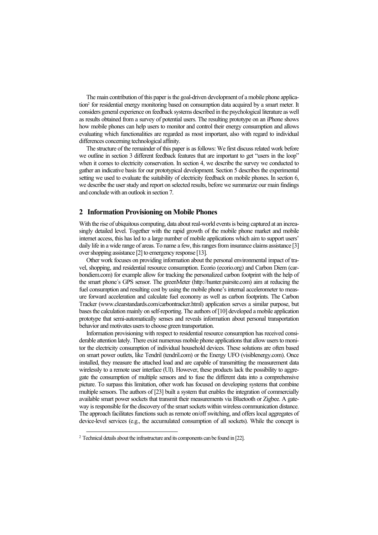The main contribution of this paper is the goal-driven development of a mobile phone application2 for residential energy monitoring based on consumption data acquired by a smart meter. It considers general experience on feedback systems described in the psychological literature as well as results obtained from a survey of potential users. The resulting prototype on an iPhone shows how mobile phones can help users to monitor and control their energy consumption and allows evaluating which functionalities are regarded as most important, also with regard to individual differences concerning technological affinity.

The structure of the remainder of this paper is as follows: We first discuss related work before we outline in section 3 different feedback features that are important to get "users in the loop" when it comes to electricity conservation. In section 4, we describe the survey we conducted to gather an indicative basis for our prototypical development. Section 5 describes the experimental setting we used to evaluate the suitability of electricity feedback on mobile phones. In section 6, we describe the user study and report on selected results, before we summarize our main findings and conclude with an outlook in section 7.

## **2 Information Provisioning on Mobile Phones**

With the rise of ubiquitous computing, data about real-world events is being captured at an increasingly detailed level. Together with the rapid growth of the mobile phone market and mobile internet access, this has led to a large number of mobile applications which aim to support users' daily life in a wide range of areas. To name a few, this ranges from insurance claims assistance [3] over shopping assistance [2] to emergency response [13].

Other work focuses on providing information about the personal environmental impact of travel, shopping, and residential resource consumption. Ecorio (ecorio.org) and Carbon Diem (carbondiem.com) for example allow for tracking the personalized carbon footprint with the help of the smart phone´s GPS sensor. The greenMeter (http://hunter.pairsite.com) aim at reducing the fuel consumption and resulting cost by using the mobile phone's internal accelerometer to measure forward acceleration and calculate fuel economy as well as carbon footprints. The Carbon Tracker (www.clearstandards.com/carbontracker.html) application serves a similar purpose, but bases the calculation mainly on self-reporting. The authors of [10] developed a mobile application prototype that semi-automatically senses and reveals information about personal transportation behavior and motivates users to choose green transportation.

Information provisioning with respect to residential resource consumption has received considerable attention lately. There exist numerous mobile phone applications that allow users to monitor the electricity consumption of individual household devices. These solutions are often based on smart power outlets, like Tendril (tendril.com) or the Energy UFO (visiblenergy.com). Once installed, they measure the attached load and are capable of transmitting the measurement data wirelessly to a remote user interface (UI). However, these products lack the possibility to aggregate the consumption of multiple sensors and to fuse the different data into a comprehensive picture. To surpass this limitation, other work has focused on developing systems that combine multiple sensors. The authors of [23] built a system that enables the integration of commercially available smart power sockets that transmit their measurements via Bluetooth or Zigbee. A gateway is responsible for the discovery of the smart sockets within wireless communication distance. The approach facilitates functions such as remote on/off switching, and offers local aggregates of device-level services (e.g., the accumulated consumption of all sockets). While the concept is

 <sup>2</sup> Technical details about the infrastructure and its components can be found in [22].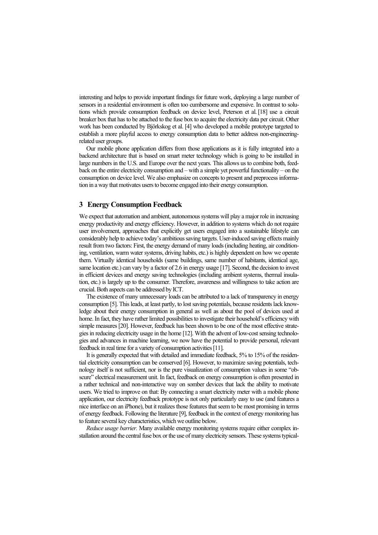interesting and helps to provide important findings for future work, deploying a large number of sensors in a residential environment is often too cumbersome and expensive. In contrast to solutions which provide consumption feedback on device level, Peterson et al. [18] use a circuit breaker box that has to be attached to the fuse box to acquire the electricity data per circuit. Other work has been conducted by Björkskog et al. [4] who developed a mobile prototype targeted to establish a more playful access to energy consumption data to better address non-engineeringrelated user groups.

Our mobile phone application differs from those applications as it is fully integrated into a backend architecture that is based on smart meter technology which is going to be installed in large numbers in the U.S. and Europe over the next years. This allows us to combine both, feedback on the entire electricity consumption and – with a simple yet powerful functionality – on the consumption on device level. We also emphasize on concepts to present and preprocess information in a way that motivates users to become engaged into their energy consumption.

## **3 Energy Consumption Feedback**

We expect that automation and ambient, autonomous systems will play a major role in increasing energy productivity and energy efficiency. However, in addition to systems which do not require user involvement, approaches that explicitly get users engaged into a sustainable lifestyle can considerably help to achieve today's ambitious saving targets. User-induced saving effects mainly result from two factors: First, the energy demand of many loads (including heating, air conditioning, ventilation, warm water systems, driving habits, etc.) is highly dependent on how we operate them. Virtually identical households (same buildings, same number of habitants, identical age, same location etc.) can vary by a factor of 2.6 in energy usage [17]. Second, the decision to invest in efficient devices and energy saving technologies (including ambient systems, thermal insulation, etc.) is largely up to the consumer. Therefore, awareness and willingness to take action are crucial. Both aspects can be addressed by ICT.

The existence of many unnecessary loads can be attributed to a lack of transparency in energy consumption [5]. This leads, at least partly, to lost saving potentials, because residents lack knowledge about their energy consumption in general as well as about the pool of devices used at home. In fact, they have rather limited possibilities to investigate their household's efficiency with simple measures [20]. However, feedback has been shown to be one of the most effective strategies in reducing electricity usage in the home [12]. With the advent of low-cost sensing technologies and advances in machine learning, we now have the potential to provide personal, relevant feedback in real time for a variety of consumption activities [11].

It is generally expected that with detailed and immediate feedback, 5% to 15% of the residential electricity consumption can be conserved [6]. However, to maximize saving potentials, technology itself is not sufficient, nor is the pure visualization of consumption values in some "obscure" electrical measurement unit. In fact, feedback on energy consumption is often presented in a rather technical and non-interactive way on somber devices that lack the ability to motivate users. We tried to improve on that: By connecting a smart electricity meter with a mobile phone application, our electricity feedback prototype is not only particularly easy to use (and features a nice interface on an iPhone), but it realizes those features that seem to be most promising in terms of energy feedback. Following the literature [9], feedback in the context of energy monitoring has to feature several key characteristics, which we outline below.

*Reduce usage barrier.* Many available energy monitoring systems require either complex installation around the central fuse box or the use of many electricity sensors. These systems typical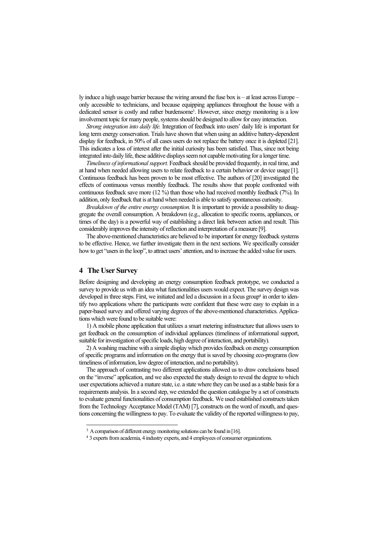ly induce a high usage barrier because the wiring around the fuse box is – at least across Europe – only accessible to technicians, and because equipping appliances throughout the house with a dedicated sensor is costly and rather burdensome3. However, since energy monitoring is a low involvement topic for many people, systems should be designed to allow for easy interaction.

*Strong integration into daily life.* Integration of feedback into users' daily life is important for long term energy conservation. Trials have shown that when using an additive battery-dependent display for feedback, in 50% of all cases users do not replace the battery once it is depleted [21]. This indicates a loss of interest after the initial curiosity has been satisfied. Thus, since not being integrated into daily life, these additive displays seem not capable motivating for a longer time.

*Timeliness of informational support.* Feedback should be provided frequently, in real time, and at hand when needed allowing users to relate feedback to a certain behavior or device usage [1]. Continuous feedback has been proven to be most effective. The authors of [20] investigated the effects of continuous versus monthly feedback. The results show that people confronted with continuous feedback save more (12 %) than those who had received monthly feedback (7%). In addition, only feedback that is at hand when needed is able to satisfy spontaneous curiosity.

*Breakdown of the entire energy consumption.* It is important to provide a possibility to disaggregate the overall consumption. A breakdown (e.g., allocation to specific rooms, appliances, or times of the day) is a powerful way of establishing a direct link between action and result. This considerably improves the intensity of reflection and interpretation of a measure [9].

The above-mentioned characteristics are believed to be important for energy feedback systems to be effective. Hence, we further investigate them in the next sections. We specifically consider how to get "users in the loop", to attract users' attention, and to increase the added value for users.

#### **4 The User Survey**

-

Before designing and developing an energy consumption feedback prototype, we conducted a survey to provide us with an idea what functionalities users would expect. The survey design was developed in three steps. First, we initiated and led a discussion in a focus group<sup>4</sup> in order to identify two applications where the participants were confident that these were easy to explain in a paper-based survey and offered varying degrees of the above-mentioned characteristics. Applications which were found to be suitable were:

1) A mobile phone application that utilizes a smart metering infrastructure that allows users to get feedback on the consumption of individual appliances (timeliness of informational support, suitable for investigation of specific loads, high degree of interaction, and portability).

2) A washing machine with a simple display which provides feedback on energy consumption of specific programs and information on the energy that is saved by choosing eco-programs (low timeliness of information, low degree of interaction, and no portability).

The approach of contrasting two different applications allowed us to draw conclusions based on the "inverse" application, and we also expected the study design to reveal the degree to which user expectations achieved a mature state, i.e. a state where they can be used as a stable basis for a requirements analysis. In a second step, we extended the question catalogue by a set of constructs to evaluate general functionalities of consumption feedback. We used established constructs taken from the Technology Acceptance Model (TAM) [7], constructs on the word of mouth, and questions concerning the willingness to pay. To evaluate the validity of the reported willingness to pay,

<sup>&</sup>lt;sup>3</sup> A comparison of different energy monitoring solutions can be found in [16].

<sup>4 3</sup> experts from academia, 4 industry experts, and 4 employees of consumer organizations.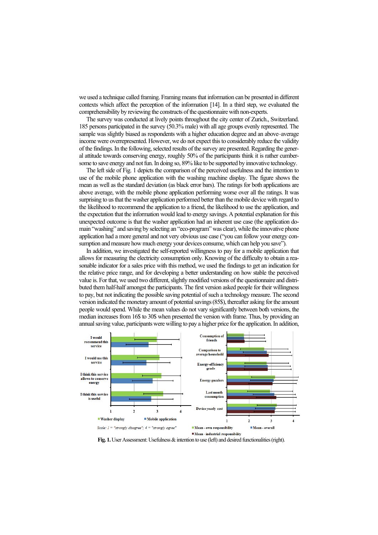we used a technique called framing. Framing means that information can be presented in different contexts which affect the perception of the information [14]. In a third step, we evaluated the comprehensibility by reviewing the constructs of the questionnaire with non-experts.

The survey was conducted at lively points throughout the city center of Zurich., Switzerland. 185 persons participated in the survey (50.3% male) with all age groups evenly represented. The sample was slightly biased as respondents with a higher education degree and an above–average income were overrepresented. However, we do not expect this to considerably reduce the validity of the findings. In the following, selected results of the survey are presented. Regarding the general attitude towards conserving energy, roughly 50% of the participants think it is rather cumbersome to save energy and not fun. In doing so, 89% like to be supported by innovative technology.

The left side of Fig. 1 depicts the comparison of the perceived usefulness and the intention to use of the mobile phone application with the washing machine display. The figure shows the mean as well as the standard deviation (as black error bars). The ratings for both applications are above average, with the mobile phone application performing worse over all the ratings. It was surprising to us that the washer application performed better than the mobile device with regard to the likelihood to recommend the application to a friend, the likelihood to use the application, and the expectation that the information would lead to energy savings. A potential explanation for this unexpected outcome is that the washer application had an inherent use case (the application domain "washing" and saving by selecting an "eco-program" was clear), while the innovative phone application had a more general and not very obvious use case ("you can follow your energy consumption and measure how much energy your devices consume, which can help you save").

In addition, we investigated the self-reported willingness to pay for a mobile application that allows for measuring the electricity consumption only. Knowing of the difficulty to obtain a reasonable indicator for a sales price with this method, we used the findings to get an indication for the relative price range, and for developing a better understanding on how stable the perceived value is. For that, we used two different, slightly modified versions of the questionnaire and distributed them half-half amongst the participants. The first version asked people for their willingness to pay, but not indicating the possible saving potential of such a technology measure. The second version indicated the monetary amount of potential savings (85\$), thereafter asking for the amount people would spend. While the mean values do not vary significantly between both versions, the median increases from 16\$ to 30\$ when presented the version with frame. Thus, by providing an annual saving value, participants were willing to pay a higher price for the application. In addition,



Fig. 1. User Assessment: Usefulness & intention to use (left) and desired functionalities (right).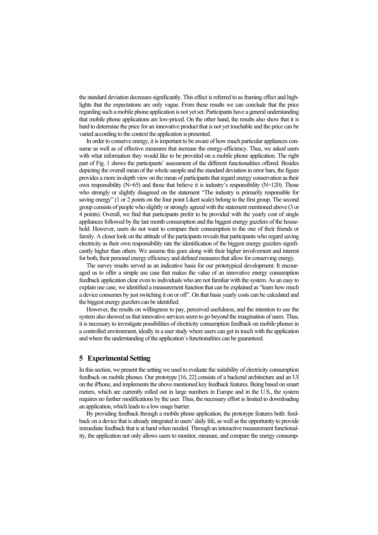the standard deviation decreases significantly. This effect is referred to as framing effect and highlights that the expectations are only vague. From these results we can conclude that the price regarding such a mobile phone application is not yet set. Participants have a general understanding that mobile phone applications are low-priced. On the other hand, the results also show that it is hard to determine the price for an innovative product that is not yet touchable and the price can be varied according to the context the application is presented.

In order to conserve energy, it is important to be aware of how much particular appliances consume as well as of effective measures that increase the energy-efficiency. Thus, we asked users with what information they would like to be provided on a mobile phone application. The right part of Fig. 1 shows the participants' assessment of the different functionalities offered. Besides depicting the overall mean of the whole sample and the standard deviation in error bars, the figure provides a more in-depth view on the mean of participants that regard energy conservation as their own responsibility  $(N=65)$  and those that believe it is industry's responsibility  $(N=120)$ . Those who strongly or slightly disagreed on the statement "The industry is primarily responsible for saving energy" (1 or 2 points on the four point Likert scale) belong to the first group. The second group consists of people who slightly or strongly agreed with the statement mentioned above (3 or 4 points). Overall, we find that participants prefer to be provided with the yearly cost of single appliances followed by the last month consumption and the biggest energy guzzlers of the household. However, users do not want to compare their consumption to the one of their friends or family. A closer look on the attitude of the participants reveals that participants who regard saving electricity as their own responsibility rate the identification of the biggest energy guzzlers significantly higher than others. We assume this goes along with their higher involvement and interest for both, their personal energy efficiency and defined measures that allow for conserving energy.

The survey results served as an indicative basis for our prototypical development. It encouraged us to offer a simple use case that makes the value of an innovative energy consumption feedback application clear even to individuals who are not familiar with the system. As an easy to explain use case, we identified a measurement function that can be explained as "learn how much a device consumes by just switching it on or off". On that basis yearly costs can be calculated and the biggest energy guzzlers can be identified.

However, the results on willingness to pay, perceived usefulness, and the intention to use the system also showed us that innovative services seem to go beyond the imagination of users. Thus, it is necessary to investigate possibilities of electricity consumption feedback on mobile phones in a controlled environment, ideally in a user study where users can get in touch with the application and where the understanding of the application`s functionalities can be guaranteed.

### **5 Experimental Setting**

In this section, we present the setting we used to evaluate the suitability of electricity consumption feedback on mobile phones. Our prototype [16, 22] consists of a backend architecture and an UI on the iPhone, and implements the above mentioned key feedback features. Being based on smart meters, which are currently rolled out in large numbers in Europe and in the U.S., the system requires no further modifications by the user. Thus, the necessary effort is limited to downloading an application, which leads to a low usage barrier.

By providing feedback through a mobile phone application, the prototype features both: feedback on a device that is already integrated in users' daily life, as well as the opportunity to provide immediate feedback that is at hand when needed. Through an interactive measurement functionality, the application not only allows users to monitor, measure, and compare the energy consump-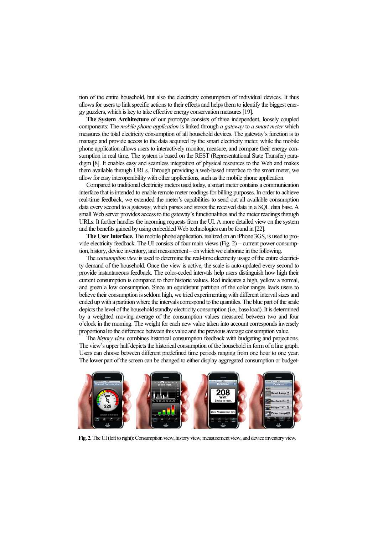tion of the entire household, but also the electricity consumption of individual devices. It thus allows for users to link specific actions to their effects and helps them to identify the biggest energy guzzlers, which is key to take effective energy conservation measures [19].

**The System Architecture** of our prototype consists of three independent, loosely coupled components: The *mobile phone application* is linked through *a gateway* to *a smart meter* which measures the total electricity consumption of all household devices. The gateway's function is to manage and provide access to the data acquired by the smart electricity meter, while the mobile phone application allows users to interactively monitor, measure, and compare their energy consumption in real time. The system is based on the REST (Representational State Transfer) paradigm [8]. It enables easy and seamless integration of physical resources to the Web and makes them available through URLs. Through providing a web-based interface to the smart meter, we allow for easy interoperability with other applications, such as the mobile phone application.

Compared to traditional electricity meters used today, a smart meter contains a communication interface that is intended to enable remote meter readings for billing purposes. In order to achieve real-time feedback, we extended the meter's capabilities to send out all available consumption data every second to a gateway, which parses and stores the received data in a SQL data base. A small Web server provides access to the gateway's functionalities and the meter readings through URLs. It further handles the incoming requests from the UI. A more detailed view on the system and the benefits gained by using embedded Web technologies can be found in [22].

**The User Interface.** The mobile phone application, realized on an iPhone 3GS, is used to provide electricity feedback. The UI consists of four main views (Fig. 2) – current power consumption, history, device inventory, and measurement – on which we elaborate in the following.

The *consumption view* is used to determine the real-time electricity usage of the entire electricity demand of the household. Once the view is active, the scale is auto-updated every second to provide instantaneous feedback. The color-coded intervals help users distinguish how high their current consumption is compared to their historic values. Red indicates a high, yellow a normal, and green a low consumption. Since an equidistant partition of the color ranges leads users to believe their consumption is seldom high, we tried experimenting with different interval sizes and ended up with a partition where the intervals correspond to the quantiles. The blue part of the scale depicts the level of the household standby electricity consumption (i.e., base load). It is determined by a weighted moving average of the consumption values measured between two and four o'clock in the morning. The weight for each new value taken into account corresponds inversely proportional to the difference between this value and the previous average consumption value.

The *history view* combines historical consumption feedback with budgeting and projections. The view's upper half depicts the historical consumption of the household in form of a line graph. Users can choose between different predefined time periods ranging from one hour to one year. The lower part of the screen can be changed to either display aggregated consumption or budget-



**Fig. 2.** The UI (left to right): Consumption view, history view, measurement view, and device inventory view.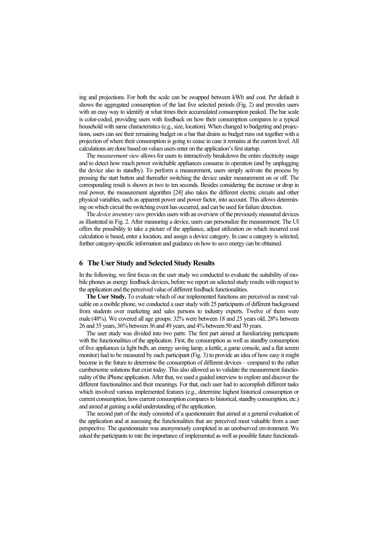ing and projections. For both the scale can be swapped between kWh and cost. Per default it shows the aggregated consumption of the last five selected periods (Fig. 2) and provides users with an easy way to identify at what times their accumulated consumption peaked. The bar scale is color-coded, providing users with feedback on how their consumption compares to a typical household with same characteristics (e.g., size, location). When changed to budgeting and projections, users can see their remaining budget on a bar that drains as budget runs out together with a projection of where their consumption is going to cease in case it remains at the current level. All calculations are done based on values users enter on the application's first startup.

The *measurement view* allows for users to interactively breakdown the entire electricity usage and to detect how much power switchable appliances consume in operation (and by unplugging the device also in standby). To perform a measurement, users simply activate the process by pressing the start button and thereafter switching the device under measurement on or off. The corresponding result is shown in two to ten seconds. Besides considering the increase or drop in real power, the measurement algorithm [24] also takes the different electric circuits and other physical variables, such as apparent power and power factor, into account. This allows determining on which circuit the switching event has occurred, and can be used for failure detection.

The *device inventory view* provides users with an overview of the previously measured devices as illustrated in Fig. 2. After measuring a device, users can personalize the measurement. The UI offers the possibility to take a picture of the appliance, adjust utilization on which incurred cost calculation is based, enter a location, and assign a device category. In case a category is selected, further category-specific information and guidance on how to save energy can be obtained.

#### **6 The User Study and Selected Study Results**

In the following, we first focus on the user study we conducted to evaluate the suitability of mobile phones as energy feedback devices, before we report on selected study results with respect to the application and the perceived value of different feedback functionalities.

**The User Study.** To evaluate which of our implemented functions are perceived as most valuable on a mobile phone, we conducted a user study with 25 participants of different background from students over marketing and sales persons to industry experts. Twelve of them were male (48%). We covered all age groups: 32% were between 18 and 25 years old, 28% between 26 and 35 years, 36% between 36 and 49 years, and 4% between 50 and 70 years.

The user study was divided into two parts: The first part aimed at familiarizing participants with the functionalities of the application. First, the consumption as well as standby consumption of five appliances (a light bulb, an energy saving lamp, a kettle, a game console, and a flat screen monitor) had to be measured by each participant (Fig. 3) to provide an idea of how easy it might become in the future to determine the consumption of different devices – compared to the rather cumbersome solutions that exist today. This also allowed us to validate the measurement functionality of the iPhone application. After that, we used a guided interview to explore and discover the different functionalities and their meanings. For that, each user had to accomplish different tasks which involved various implemented features (e.g., determine highest historical consumption or current consumption, how current consumption compares to historical, standby consumption, etc.) and aimed at gaining a solid understanding of the application.

The second part of the study consisted of a questionnaire that aimed at a general evaluation of the application and at assessing the functionalities that are perceived most valuable from a user perspective. The questionnaire was anonymously completed in an unobserved environment. We asked the participants to rate the importance of implemented as well as possible future functionali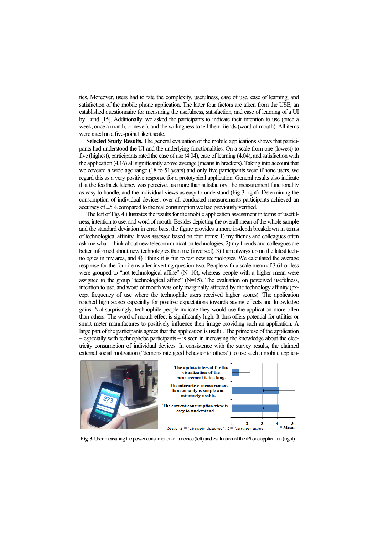ties. Moreover, users had to rate the complexity, usefulness, ease of use, ease of learning, and satisfaction of the mobile phone application. The latter four factors are taken from the USE, an established questionnaire for measuring the usefulness, satisfaction, and ease of learning of a UI by Lund [15]. Additionally, we asked the participants to indicate their intention to use (once a week, once a month, or never), and the willingness to tell their friends (word of mouth). All items were rated on a five-point Likert scale.

**Selected Study Results.** The general evaluation of the mobile applications shows that participants had understood the UI and the underlying functionalities. On a scale from one (lowest) to five (highest), participants rated the ease of use (4.04), ease of learning (4.04), and satisfaction with the application (4.16) all significantly above average (means in brackets). Taking into account that we covered a wide age range (18 to 51 years) and only five participants were iPhone users, we regard this as a very positive response for a prototypical application. General results also indicate that the feedback latency was perceived as more than satisfactory, the measurement functionality as easy to handle, and the individual views as easy to understand (Fig 3 right). Determining the consumption of individual devices, over all conducted measurements participants achieved an accuracy of ±5% compared to the real consumption we had previously verified.

The left of Fig. 4 illustrates the results for the mobile application assessment in terms of usefulness, intention to use, and word of mouth. Besides depicting the overall mean of the whole sample and the standard deviation in error bars, the figure provides a more in-depth breakdown in terms of technological affinity. It was assessed based on four items: 1) my friends and colleagues often ask me what I think about new telecommunication technologies, 2) my friends and colleagues are better informed about new technologies than me (inversed), 3) I am always up on the latest technologies in my area, and 4) I think it is fun to test new technologies. We calculated the average response for the four items after inverting question two. People with a scale mean of 3.64 or less were grouped to "not technological affine" (N=10), whereas people with a higher mean were assigned to the group "technological affine" (N=15). The evaluation on perceived usefulness, intention to use, and word of mouth was only marginally affected by the technology affinity (except frequency of use where the technophile users received higher scores). The application reached high scores especially for positive expectations towards saving effects and knowledge gains. Not surprisingly, technophile people indicate they would use the application more often than others. The word of mouth effect is significantly high. It thus offers potential for utilities or smart meter manufactures to positively influence their image providing such an application. A large part of the participants agrees that the application is useful. The prime use of the application – especially with technophobe participants – is seen in increasing the knowledge about the electricity consumption of individual devices. In consistence with the survey results, the claimed external social motivation ("demonstrate good behavior to others") to use such a mobile applica-



**Fig. 3.** User measuring the power consumption of a device (left) and evaluation of the iPhone application (right).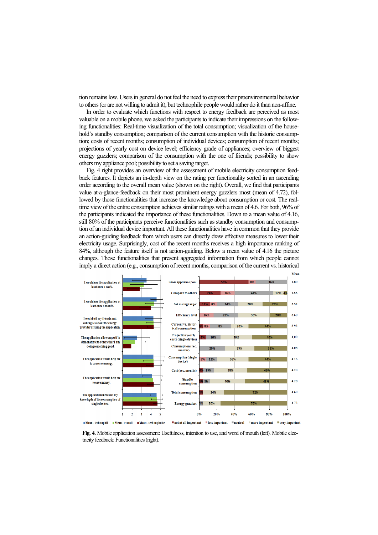tion remains low. Users in general do not feel the need to express their proenvironmental behavior to others (or are not willing to admit it), but technophile people would rather do it than non-affine.

In order to evaluate which functions with respect to energy feedback are perceived as most valuable on a mobile phone, we asked the participants to indicate their impressions on the following functionalities: Real-time visualization of the total consumption; visualization of the household's standby consumption; comparison of the current consumption with the historic consumption; costs of recent months; consumption of individual devices; consumption of recent months; projections of yearly cost on device level; efficiency grade of appliances; overview of biggest energy guzzlers; comparison of the consumption with the one of friends; possibility to show others my appliance pool; possibility to set a saving target.

Fig. 4 right provides an overview of the assessment of mobile electricity consumption feedback features. It depicts an in-depth view on the rating per functionality sorted in an ascending order according to the overall mean value (shown on the right). Overall, we find that participants value at-a-glance-feedback on their most prominent energy guzzlers most (mean of 4.72), followed by those functionalities that increase the knowledge about consumption or cost. The realtime view of the entire consumption achieves similar ratings with a mean of 4.6. For both, 96% of the participants indicated the importance of these functionalities. Down to a mean value of 4.16, still 80% of the participants perceive functionalities such as standby consumption and consumption of an individual device important. All these functionalities have in common that they provide an action-guiding feedback from which users can directly draw effective measures to lower their electricity usage. Surprisingly, cost of the recent months receives a high importance ranking of 84%, although the feature itself is not action-guiding. Below a mean value of 4.16 the picture changes. Those functionalities that present aggregated information from which people cannot imply a direct action (e.g., consumption of recent months, comparison of the current vs. historical



**Fig. 4.** Mobile application assessment: Usefulness, intention to use, and word of mouth (left). Mobile electricity feedback: Functionalities (right).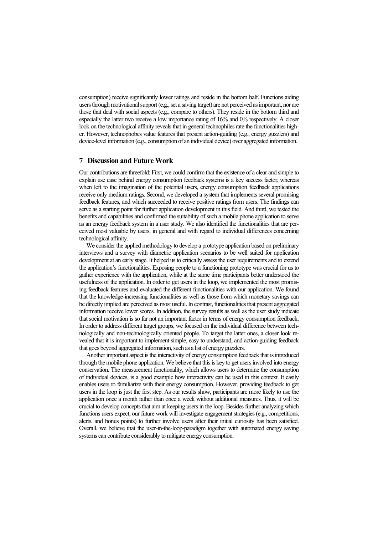consumption) receive significantly lower ratings and reside in the bottom half. Functions aiding users through motivational support (e.g., set a saving target) are not perceived as important, nor are those that deal with social aspects (e.g., compare to others). They reside in the bottom third and especially the latter two receive a low importance rating of 16% and 0% respectively. A closer look on the technological affinity reveals that in general technophiles rate the functionalities higher. However, technophobes value features that present action-guiding (e.g., energy guzzlers) and device-level information (e.g., consumption of an individual device) over aggregated information.

## **7 Discussion and Future Work**

Our contributions are threefold: First, we could confirm that the existence of a clear and simple to explain use case behind energy consumption feedback systems is a key success factor, whereas when left to the imagination of the potential users, energy consumption feedback applications receive only medium ratings. Second, we developed a system that implements several promising feedback features, and which succeeded to receive positive ratings from users. The findings can serve as a starting point for further application development in this field. And third, we tested the benefits and capabilities and confirmed the suitability of such a mobile phone application to serve as an energy feedback system in a user study. We also identified the functionalities that are perceived most valuable by users, in general and with regard to individual differences concerning technological affinity.

We consider the applied methodology to develop a prototype application based on preliminary interviews and a survey with diametric application scenarios to be well suited for application development at an early stage. It helped us to critically assess the user requirements and to extend the application's functionalities. Exposing people to a functioning prototype was crucial for us to gather experience with the application, while at the same time participants better understood the usefulness of the application. In order to get users in the loop, we implemented the most promising feedback features and evaluated the different functionalities with our application. We found that the knowledge-increasing functionalities as well as those from which monetary savings can be directly implied are perceived as most useful. In contrast, functionalities that present aggregated information receive lower scores. In addition, the survey results as well as the user study indicate that social motivation is so far not an important factor in terms of energy consumption feedback. In order to address different target groups, we focused on the individual difference between technologically and non-technologically oriented people. To target the latter ones, a closer look revealed that it is important to implement simple, easy to understand, and action-guiding feedback that goes beyond aggregated information, such as a list of energy guzzlers.

Another important aspect is the interactivity of energy consumption feedback that is introduced through the mobile phone application. We believe that this is key to get users involved into energy conservation. The measurement functionality, which allows users to determine the consumption of individual devices, is a good example how interactivity can be used in this context. It easily enables users to familiarize with their energy consumption. However, providing feedback to get users in the loop is just the first step. As our results show, participants are more likely to use the application once a month rather than once a week without additional measures. Thus, it will be crucial to develop concepts that aim at keeping users in the loop. Besides further analyzing which functions users expect, our future work will investigate engagement strategies (e.g., competitions, alerts, and bonus points) to further involve users after their initial curiosity has been satisfied. Overall, we believe that the user-in-the-loop-paradigm together with automated energy saving systems can contribute considerably to mitigate energy consumption.